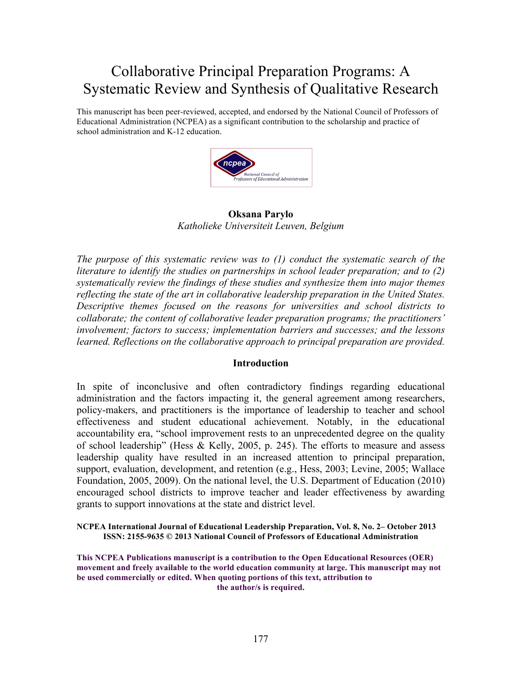# Collaborative Principal Preparation Programs: A Systematic Review and Synthesis of Qualitative Research

This manuscript has been peer-reviewed, accepted, and endorsed by the National Council of Professors of Educational Administration (NCPEA) as a significant contribution to the scholarship and practice of school administration and K-12 education.



**Oksana Parylo** *Katholieke Universiteit Leuven, Belgium*

*The purpose of this systematic review was to (1) conduct the systematic search of the literature to identify the studies on partnerships in school leader preparation; and to (2) systematically review the findings of these studies and synthesize them into major themes reflecting the state of the art in collaborative leadership preparation in the United States. Descriptive themes focused on the reasons for universities and school districts to collaborate; the content of collaborative leader preparation programs; the practitioners' involvement; factors to success; implementation barriers and successes; and the lessons learned. Reflections on the collaborative approach to principal preparation are provided.* 

#### **Introduction**

In spite of inconclusive and often contradictory findings regarding educational administration and the factors impacting it, the general agreement among researchers, policy-makers, and practitioners is the importance of leadership to teacher and school effectiveness and student educational achievement. Notably, in the educational accountability era, "school improvement rests to an unprecedented degree on the quality of school leadership" (Hess & Kelly, 2005, p. 245). The efforts to measure and assess leadership quality have resulted in an increased attention to principal preparation, support, evaluation, development, and retention (e.g., Hess, 2003; Levine, 2005; Wallace Foundation, 2005, 2009). On the national level, the U.S. Department of Education (2010) encouraged school districts to improve teacher and leader effectiveness by awarding grants to support innovations at the state and district level.

**NCPEA International Journal of Educational Leadership Preparation, Vol. 8, No. 2– October 2013 ISSN: 2155-9635 © 2013 National Council of Professors of Educational Administration**

**This NCPEA Publications manuscript is a contribution to the Open Educational Resources (OER) movement and freely available to the world education community at large. This manuscript may not be used commercially or edited. When quoting portions of this text, attribution to the author/s is required.**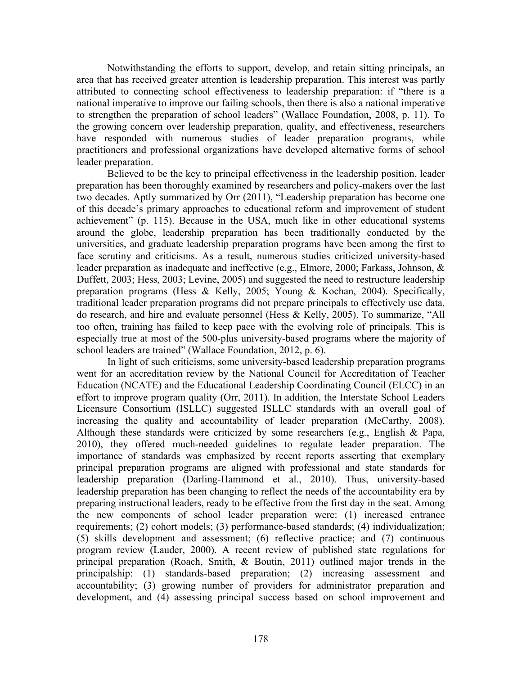Notwithstanding the efforts to support, develop, and retain sitting principals, an area that has received greater attention is leadership preparation. This interest was partly attributed to connecting school effectiveness to leadership preparation: if "there is a national imperative to improve our failing schools, then there is also a national imperative to strengthen the preparation of school leaders" (Wallace Foundation, 2008, p. 11). To the growing concern over leadership preparation, quality, and effectiveness, researchers have responded with numerous studies of leader preparation programs, while practitioners and professional organizations have developed alternative forms of school leader preparation.

Believed to be the key to principal effectiveness in the leadership position, leader preparation has been thoroughly examined by researchers and policy-makers over the last two decades. Aptly summarized by Orr (2011), "Leadership preparation has become one of this decade's primary approaches to educational reform and improvement of student achievement" (p. 115). Because in the USA, much like in other educational systems around the globe, leadership preparation has been traditionally conducted by the universities, and graduate leadership preparation programs have been among the first to face scrutiny and criticisms. As a result, numerous studies criticized university-based leader preparation as inadequate and ineffective (e.g., Elmore, 2000; Farkass, Johnson, & Duffett, 2003; Hess, 2003; Levine, 2005) and suggested the need to restructure leadership preparation programs (Hess & Kelly, 2005; Young & Kochan, 2004). Specifically, traditional leader preparation programs did not prepare principals to effectively use data, do research, and hire and evaluate personnel (Hess & Kelly, 2005). To summarize, "All too often, training has failed to keep pace with the evolving role of principals. This is especially true at most of the 500-plus university-based programs where the majority of school leaders are trained" (Wallace Foundation, 2012, p. 6).

In light of such criticisms, some university-based leadership preparation programs went for an accreditation review by the National Council for Accreditation of Teacher Education (NCATE) and the Educational Leadership Coordinating Council (ELCC) in an effort to improve program quality (Orr, 2011). In addition, the Interstate School Leaders Licensure Consortium (ISLLC) suggested ISLLC standards with an overall goal of increasing the quality and accountability of leader preparation (McCarthy, 2008). Although these standards were criticized by some researchers (e.g., English & Papa, 2010), they offered much-needed guidelines to regulate leader preparation. The importance of standards was emphasized by recent reports asserting that exemplary principal preparation programs are aligned with professional and state standards for leadership preparation (Darling-Hammond et al., 2010). Thus, university-based leadership preparation has been changing to reflect the needs of the accountability era by preparing instructional leaders, ready to be effective from the first day in the seat. Among the new components of school leader preparation were: (1) increased entrance requirements; (2) cohort models; (3) performance-based standards; (4) individualization; (5) skills development and assessment; (6) reflective practice; and (7) continuous program review (Lauder, 2000). A recent review of published state regulations for principal preparation (Roach, Smith, & Boutin, 2011) outlined major trends in the principalship: (1) standards-based preparation; (2) increasing assessment and accountability; (3) growing number of providers for administrator preparation and development, and (4) assessing principal success based on school improvement and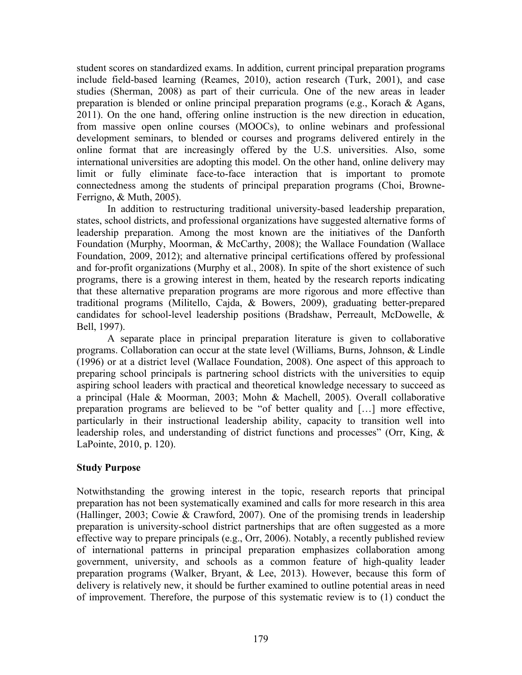student scores on standardized exams. In addition, current principal preparation programs include field-based learning (Reames, 2010), action research (Turk, 2001), and case studies (Sherman, 2008) as part of their curricula. One of the new areas in leader preparation is blended or online principal preparation programs (e.g., Korach & Agans, 2011). On the one hand, offering online instruction is the new direction in education, from massive open online courses (MOOCs), to online webinars and professional development seminars, to blended or courses and programs delivered entirely in the online format that are increasingly offered by the U.S. universities. Also, some international universities are adopting this model. On the other hand, online delivery may limit or fully eliminate face-to-face interaction that is important to promote connectedness among the students of principal preparation programs (Choi, Browne-Ferrigno, & Muth, 2005).

In addition to restructuring traditional university-based leadership preparation, states, school districts, and professional organizations have suggested alternative forms of leadership preparation. Among the most known are the initiatives of the Danforth Foundation (Murphy, Moorman, & McCarthy, 2008); the Wallace Foundation (Wallace Foundation, 2009, 2012); and alternative principal certifications offered by professional and for-profit organizations (Murphy et al., 2008). In spite of the short existence of such programs, there is a growing interest in them, heated by the research reports indicating that these alternative preparation programs are more rigorous and more effective than traditional programs (Militello, Cajda, & Bowers, 2009), graduating better-prepared candidates for school-level leadership positions (Bradshaw, Perreault, McDowelle, & Bell, 1997).

A separate place in principal preparation literature is given to collaborative programs. Collaboration can occur at the state level (Williams, Burns, Johnson, & Lindle (1996) or at a district level (Wallace Foundation, 2008). One aspect of this approach to preparing school principals is partnering school districts with the universities to equip aspiring school leaders with practical and theoretical knowledge necessary to succeed as a principal (Hale & Moorman, 2003; Mohn & Machell, 2005). Overall collaborative preparation programs are believed to be "of better quality and […] more effective, particularly in their instructional leadership ability, capacity to transition well into leadership roles, and understanding of district functions and processes" (Orr, King, & LaPointe, 2010, p. 120).

#### **Study Purpose**

Notwithstanding the growing interest in the topic, research reports that principal preparation has not been systematically examined and calls for more research in this area (Hallinger, 2003; Cowie & Crawford, 2007). One of the promising trends in leadership preparation is university-school district partnerships that are often suggested as a more effective way to prepare principals (e.g., Orr, 2006). Notably, a recently published review of international patterns in principal preparation emphasizes collaboration among government, university, and schools as a common feature of high-quality leader preparation programs (Walker, Bryant, & Lee, 2013). However, because this form of delivery is relatively new, it should be further examined to outline potential areas in need of improvement. Therefore, the purpose of this systematic review is to (1) conduct the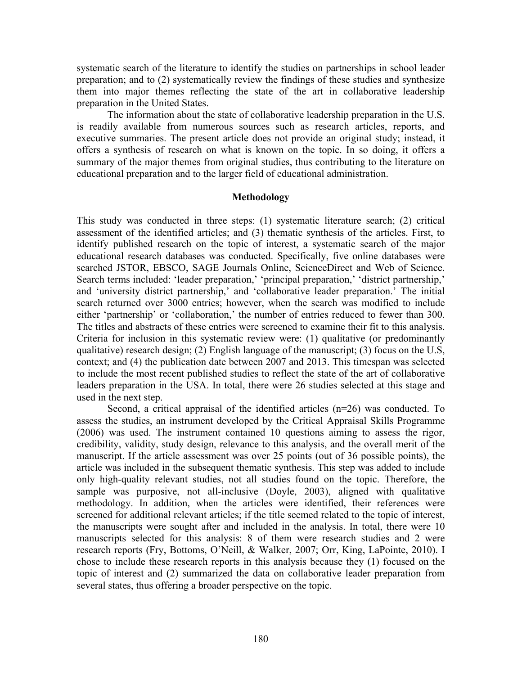systematic search of the literature to identify the studies on partnerships in school leader preparation; and to (2) systematically review the findings of these studies and synthesize them into major themes reflecting the state of the art in collaborative leadership preparation in the United States.

The information about the state of collaborative leadership preparation in the U.S. is readily available from numerous sources such as research articles, reports, and executive summaries. The present article does not provide an original study; instead, it offers a synthesis of research on what is known on the topic. In so doing, it offers a summary of the major themes from original studies, thus contributing to the literature on educational preparation and to the larger field of educational administration.

#### **Methodology**

This study was conducted in three steps: (1) systematic literature search; (2) critical assessment of the identified articles; and (3) thematic synthesis of the articles. First, to identify published research on the topic of interest, a systematic search of the major educational research databases was conducted. Specifically, five online databases were searched JSTOR, EBSCO, SAGE Journals Online, ScienceDirect and Web of Science. Search terms included: 'leader preparation,' 'principal preparation,' 'district partnership,' and 'university district partnership,' and 'collaborative leader preparation.' The initial search returned over 3000 entries; however, when the search was modified to include either 'partnership' or 'collaboration,' the number of entries reduced to fewer than 300. The titles and abstracts of these entries were screened to examine their fit to this analysis. Criteria for inclusion in this systematic review were: (1) qualitative (or predominantly qualitative) research design; (2) English language of the manuscript; (3) focus on the U.S, context; and (4) the publication date between 2007 and 2013. This timespan was selected to include the most recent published studies to reflect the state of the art of collaborative leaders preparation in the USA. In total, there were 26 studies selected at this stage and used in the next step.

Second, a critical appraisal of the identified articles (n=26) was conducted. To assess the studies, an instrument developed by the Critical Appraisal Skills Programme (2006) was used. The instrument contained 10 questions aiming to assess the rigor, credibility, validity, study design, relevance to this analysis, and the overall merit of the manuscript. If the article assessment was over 25 points (out of 36 possible points), the article was included in the subsequent thematic synthesis. This step was added to include only high-quality relevant studies, not all studies found on the topic. Therefore, the sample was purposive, not all-inclusive (Doyle, 2003), aligned with qualitative methodology. In addition, when the articles were identified, their references were screened for additional relevant articles; if the title seemed related to the topic of interest, the manuscripts were sought after and included in the analysis. In total, there were 10 manuscripts selected for this analysis: 8 of them were research studies and 2 were research reports (Fry, Bottoms, O'Neill, & Walker, 2007; Orr, King, LaPointe, 2010). I chose to include these research reports in this analysis because they (1) focused on the topic of interest and (2) summarized the data on collaborative leader preparation from several states, thus offering a broader perspective on the topic.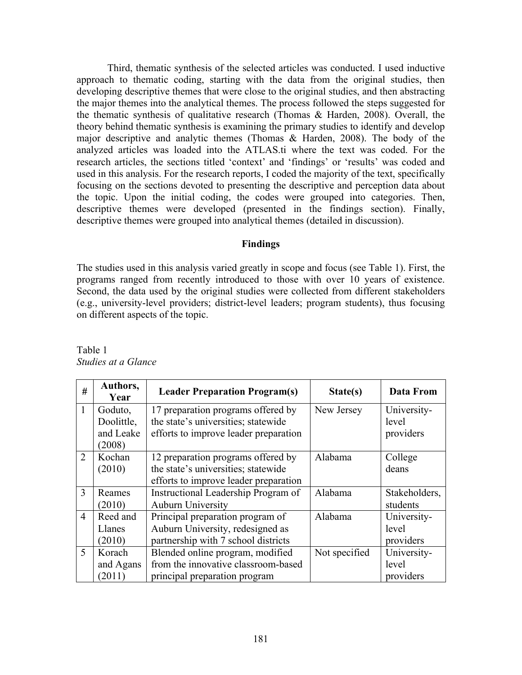Third, thematic synthesis of the selected articles was conducted. I used inductive approach to thematic coding, starting with the data from the original studies, then developing descriptive themes that were close to the original studies, and then abstracting the major themes into the analytical themes. The process followed the steps suggested for the thematic synthesis of qualitative research (Thomas & Harden, 2008). Overall, the theory behind thematic synthesis is examining the primary studies to identify and develop major descriptive and analytic themes (Thomas & Harden, 2008). The body of the analyzed articles was loaded into the ATLAS.ti where the text was coded. For the research articles, the sections titled 'context' and 'findings' or 'results' was coded and used in this analysis. For the research reports, I coded the majority of the text, specifically focusing on the sections devoted to presenting the descriptive and perception data about the topic. Upon the initial coding, the codes were grouped into categories. Then, descriptive themes were developed (presented in the findings section). Finally, descriptive themes were grouped into analytical themes (detailed in discussion).

#### **Findings**

The studies used in this analysis varied greatly in scope and focus (see Table 1). First, the programs ranged from recently introduced to those with over 10 years of existence. Second, the data used by the original studies were collected from different stakeholders (e.g., university-level providers; district-level leaders; program students), thus focusing on different aspects of the topic.

| #              | Authors,<br>Year | <b>Leader Preparation Program(s)</b>  | State(s)      | <b>Data From</b> |
|----------------|------------------|---------------------------------------|---------------|------------------|
| 1              | Goduto,          | 17 preparation programs offered by    | New Jersey    | University-      |
|                | Doolittle,       | the state's universities; statewide   |               | level            |
|                | and Leake        | efforts to improve leader preparation |               | providers        |
|                | (2008)           |                                       |               |                  |
| $\overline{2}$ | Kochan           | 12 preparation programs offered by    | Alabama       | College          |
|                | (2010)           | the state's universities; statewide   |               | deans            |
|                |                  | efforts to improve leader preparation |               |                  |
| 3              | Reames           | Instructional Leadership Program of   | Alabama       | Stakeholders,    |
|                | (2010)           | <b>Auburn University</b>              |               | students         |
| $\overline{4}$ | Reed and         | Principal preparation program of      | Alabama       | University-      |
|                | Llanes           | Auburn University, redesigned as      |               | level            |
|                | (2010)           | partnership with 7 school districts   |               | providers        |
| 5              | Korach           | Blended online program, modified      | Not specified | University-      |
|                | and Agans        | from the innovative classroom-based   |               | level            |
|                | (2011)           | principal preparation program         |               | providers        |

Table 1 *Studies at a Glance*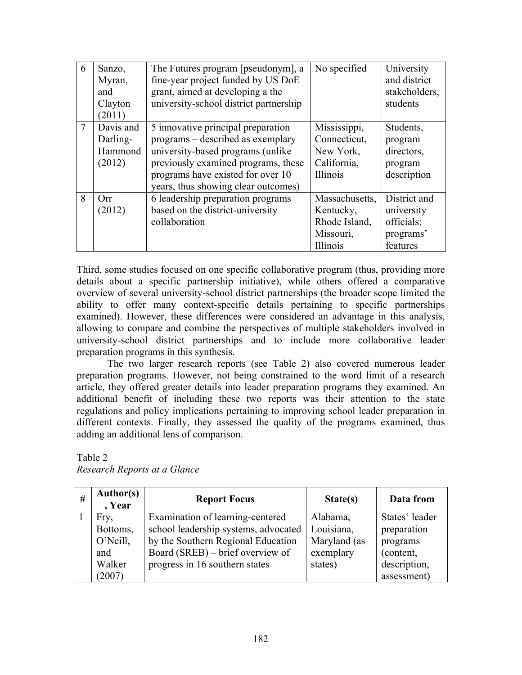| 6              | Sanzo,<br>Myran,<br>and<br>Clayton<br>(2011) | The Futures program [pseudonym], a<br>fine-year project funded by US DoE<br>grant, aimed at developing a the<br>university-school district partnership                                                                           | No specified                                                          | University<br>and district<br>stakeholders,<br>students           |
|----------------|----------------------------------------------|----------------------------------------------------------------------------------------------------------------------------------------------------------------------------------------------------------------------------------|-----------------------------------------------------------------------|-------------------------------------------------------------------|
| $\overline{7}$ | Davis and<br>Darling-<br>Hammond<br>(2012)   | 5 innovative principal preparation<br>programs – described as exemplary<br>university-based programs (unlike)<br>previously examined programs, these<br>programs have existed for over 10<br>years, thus showing clear outcomes) | Mississippi,<br>Connecticut,<br>New York,<br>California,<br>Illinois  | Students,<br>program<br>directors,<br>program<br>description      |
| 8              | Orr<br>(2012)                                | 6 leadership preparation programs<br>based on the district-university<br>collaboration                                                                                                                                           | Massachusetts,<br>Kentucky,<br>Rhode Island,<br>Missouri,<br>Illinois | District and<br>university<br>officials;<br>programs'<br>features |

Third, some studies focused on one specific collaborative program (thus, providing more details about a specific partnership initiative), while others offered a comparative overview of several university-school district partnerships (the broader scope limited the ability to offer many context-specific details pertaining to specific partnerships examined). However, these differences were considered an advantage in this analysis, allowing to compare and combine the perspectives of multiple stakeholders involved in university-school district partnerships and to include more collaborative leader preparation programs in this synthesis.

The two larger research reports (see Table 2) also covered numerous leader preparation programs. However, not being constrained to the word limit of a research article, they offered greater details into leader preparation programs they examined. An additional benefit of including these two reports was their attention to the state regulations and policy implications pertaining to improving school leader preparation in different contexts. Finally, they assessed the quality of the programs examined, thus adding an additional lens of comparison.

| # | <b>Author(s)</b><br>, Year | <b>Report Focus</b>                  | State(s)     | Data from      |
|---|----------------------------|--------------------------------------|--------------|----------------|
|   | Fry,                       | Examination of learning-centered     | Alabama,     | States' leader |
|   | Bottoms,                   | school leadership systems, advocated | Louisiana,   | preparation    |
|   | O'Neill,                   | by the Southern Regional Education   | Maryland (as | programs       |
|   | and                        | Board (SREB) – brief overview of     | exemplary    | (content,      |
|   | Walker                     | progress in 16 southern states       | states)      | description,   |
|   | (2007)                     |                                      |              | assessment)    |

Table 2 *Research Reports at a Glance*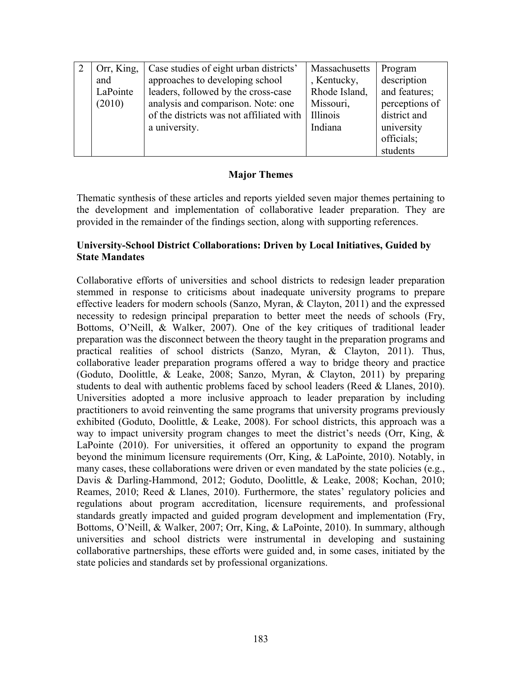| Orr, King, | Case studies of eight urban districts'   | Massachusetts | Program        |
|------------|------------------------------------------|---------------|----------------|
| and        | approaches to developing school          | , Kentucky,   | description    |
| LaPointe   | leaders, followed by the cross-case      | Rhode Island, | and features;  |
| (2010)     | analysis and comparison. Note: one       | Missouri,     | perceptions of |
|            | of the districts was not affiliated with | Illinois      | district and   |
|            | a university.                            | Indiana       | university     |
|            |                                          |               | officials;     |
|            |                                          |               | students       |

## **Major Themes**

Thematic synthesis of these articles and reports yielded seven major themes pertaining to the development and implementation of collaborative leader preparation. They are provided in the remainder of the findings section, along with supporting references.

### **University-School District Collaborations: Driven by Local Initiatives, Guided by State Mandates**

Collaborative efforts of universities and school districts to redesign leader preparation stemmed in response to criticisms about inadequate university programs to prepare effective leaders for modern schools (Sanzo, Myran, & Clayton, 2011) and the expressed necessity to redesign principal preparation to better meet the needs of schools (Fry, Bottoms, O'Neill, & Walker, 2007). One of the key critiques of traditional leader preparation was the disconnect between the theory taught in the preparation programs and practical realities of school districts (Sanzo, Myran, & Clayton, 2011). Thus, collaborative leader preparation programs offered a way to bridge theory and practice (Goduto, Doolittle, & Leake, 2008; Sanzo, Myran, & Clayton, 2011) by preparing students to deal with authentic problems faced by school leaders (Reed & Llanes, 2010). Universities adopted a more inclusive approach to leader preparation by including practitioners to avoid reinventing the same programs that university programs previously exhibited (Goduto, Doolittle, & Leake, 2008). For school districts, this approach was a way to impact university program changes to meet the district's needs (Orr, King, & LaPointe (2010). For universities, it offered an opportunity to expand the program beyond the minimum licensure requirements (Orr, King, & LaPointe, 2010). Notably, in many cases, these collaborations were driven or even mandated by the state policies (e.g., Davis & Darling-Hammond, 2012; Goduto, Doolittle, & Leake, 2008; Kochan, 2010; Reames, 2010; Reed & Llanes, 2010). Furthermore, the states' regulatory policies and regulations about program accreditation, licensure requirements, and professional standards greatly impacted and guided program development and implementation (Fry, Bottoms, O'Neill, & Walker, 2007; Orr, King, & LaPointe, 2010). In summary, although universities and school districts were instrumental in developing and sustaining collaborative partnerships, these efforts were guided and, in some cases, initiated by the state policies and standards set by professional organizations.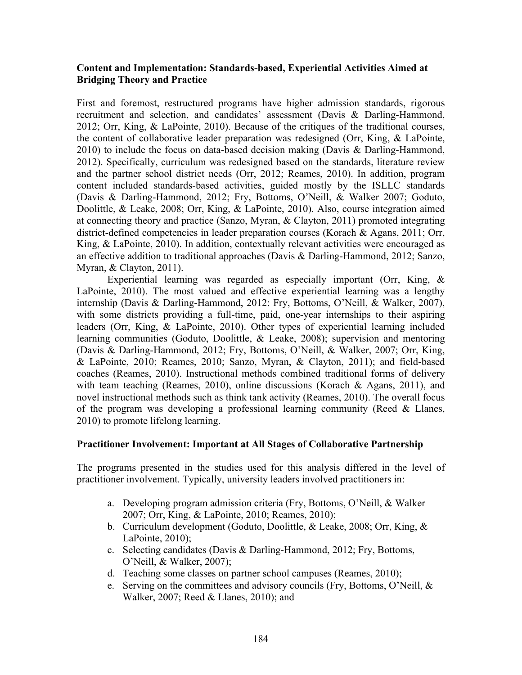## **Content and Implementation: Standards-based, Experiential Activities Aimed at Bridging Theory and Practice**

First and foremost, restructured programs have higher admission standards, rigorous recruitment and selection, and candidates' assessment (Davis & Darling-Hammond, 2012; Orr, King, & LaPointe, 2010). Because of the critiques of the traditional courses, the content of collaborative leader preparation was redesigned (Orr, King, & LaPointe, 2010) to include the focus on data-based decision making (Davis & Darling-Hammond, 2012). Specifically, curriculum was redesigned based on the standards, literature review and the partner school district needs (Orr, 2012; Reames, 2010). In addition, program content included standards-based activities, guided mostly by the ISLLC standards (Davis & Darling-Hammond, 2012; Fry, Bottoms, O'Neill, & Walker 2007; Goduto, Doolittle, & Leake, 2008; Orr, King, & LaPointe, 2010). Also, course integration aimed at connecting theory and practice (Sanzo, Myran, & Clayton, 2011) promoted integrating district-defined competencies in leader preparation courses (Korach & Agans, 2011; Orr, King, & LaPointe, 2010). In addition, contextually relevant activities were encouraged as an effective addition to traditional approaches (Davis & Darling-Hammond, 2012; Sanzo, Myran, & Clayton, 2011).

Experiential learning was regarded as especially important (Orr, King, & LaPointe, 2010). The most valued and effective experiential learning was a lengthy internship (Davis & Darling-Hammond, 2012: Fry, Bottoms, O'Neill, & Walker, 2007), with some districts providing a full-time, paid, one-year internships to their aspiring leaders (Orr, King, & LaPointe, 2010). Other types of experiential learning included learning communities (Goduto, Doolittle, & Leake, 2008); supervision and mentoring (Davis & Darling-Hammond, 2012; Fry, Bottoms, O'Neill, & Walker, 2007; Orr, King, & LaPointe, 2010; Reames, 2010; Sanzo, Myran, & Clayton, 2011); and field-based coaches (Reames, 2010). Instructional methods combined traditional forms of delivery with team teaching (Reames, 2010), online discussions (Korach & Agans, 2011), and novel instructional methods such as think tank activity (Reames, 2010). The overall focus of the program was developing a professional learning community (Reed & Llanes, 2010) to promote lifelong learning.

#### **Practitioner Involvement: Important at All Stages of Collaborative Partnership**

The programs presented in the studies used for this analysis differed in the level of practitioner involvement. Typically, university leaders involved practitioners in:

- a. Developing program admission criteria (Fry, Bottoms, O'Neill, & Walker 2007; Orr, King, & LaPointe, 2010; Reames, 2010);
- b. Curriculum development (Goduto, Doolittle, & Leake, 2008; Orr, King, & LaPointe, 2010);
- c. Selecting candidates (Davis & Darling-Hammond, 2012; Fry, Bottoms, O'Neill, & Walker, 2007);
- d. Teaching some classes on partner school campuses (Reames, 2010);
- e. Serving on the committees and advisory councils (Fry, Bottoms, O'Neill, & Walker, 2007; Reed & Llanes, 2010); and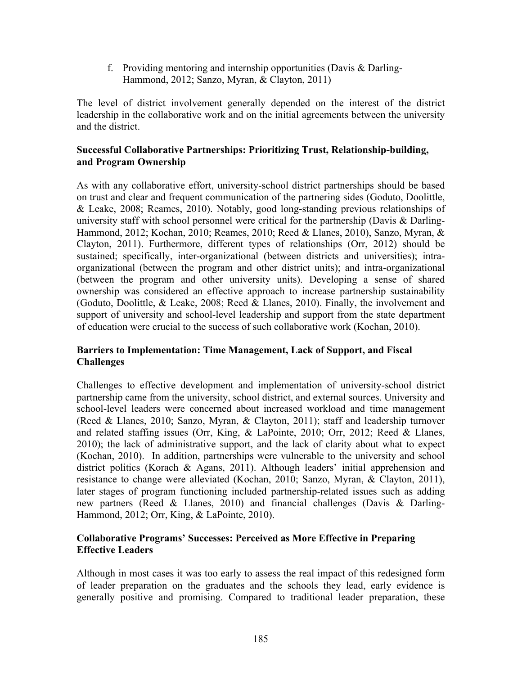f. Providing mentoring and internship opportunities (Davis & Darling-Hammond, 2012; Sanzo, Myran, & Clayton, 2011)

The level of district involvement generally depended on the interest of the district leadership in the collaborative work and on the initial agreements between the university and the district.

# **Successful Collaborative Partnerships: Prioritizing Trust, Relationship-building, and Program Ownership**

As with any collaborative effort, university-school district partnerships should be based on trust and clear and frequent communication of the partnering sides (Goduto, Doolittle, & Leake, 2008; Reames, 2010). Notably, good long-standing previous relationships of university staff with school personnel were critical for the partnership (Davis & Darling-Hammond, 2012; Kochan, 2010; Reames, 2010; Reed & Llanes, 2010), Sanzo, Myran, & Clayton, 2011). Furthermore, different types of relationships (Orr, 2012) should be sustained; specifically, inter-organizational (between districts and universities); intraorganizational (between the program and other district units); and intra-organizational (between the program and other university units). Developing a sense of shared ownership was considered an effective approach to increase partnership sustainability (Goduto, Doolittle,  $\&$  Leake, 2008; Reed  $\&$  Llanes, 2010). Finally, the involvement and support of university and school-level leadership and support from the state department of education were crucial to the success of such collaborative work (Kochan, 2010).

# **Barriers to Implementation: Time Management, Lack of Support, and Fiscal Challenges**

Challenges to effective development and implementation of university-school district partnership came from the university, school district, and external sources. University and school-level leaders were concerned about increased workload and time management (Reed & Llanes, 2010; Sanzo, Myran, & Clayton, 2011); staff and leadership turnover and related staffing issues (Orr, King, & LaPointe, 2010; Orr, 2012; Reed & Llanes, 2010); the lack of administrative support, and the lack of clarity about what to expect (Kochan, 2010). In addition, partnerships were vulnerable to the university and school district politics (Korach & Agans, 2011). Although leaders' initial apprehension and resistance to change were alleviated (Kochan, 2010; Sanzo, Myran, & Clayton, 2011), later stages of program functioning included partnership-related issues such as adding new partners (Reed & Llanes, 2010) and financial challenges (Davis & Darling-Hammond, 2012; Orr, King, & LaPointe, 2010).

# **Collaborative Programs' Successes: Perceived as More Effective in Preparing Effective Leaders**

Although in most cases it was too early to assess the real impact of this redesigned form of leader preparation on the graduates and the schools they lead, early evidence is generally positive and promising. Compared to traditional leader preparation, these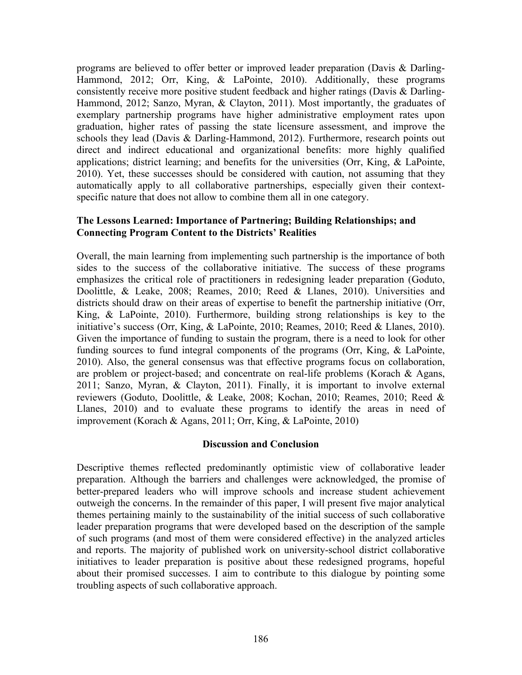programs are believed to offer better or improved leader preparation (Davis & Darling-Hammond, 2012; Orr, King, & LaPointe, 2010). Additionally, these programs consistently receive more positive student feedback and higher ratings (Davis & Darling-Hammond, 2012; Sanzo, Myran, & Clayton, 2011). Most importantly, the graduates of exemplary partnership programs have higher administrative employment rates upon graduation, higher rates of passing the state licensure assessment, and improve the schools they lead (Davis & Darling-Hammond, 2012). Furthermore, research points out direct and indirect educational and organizational benefits: more highly qualified applications; district learning; and benefits for the universities (Orr, King, & LaPointe, 2010). Yet, these successes should be considered with caution, not assuming that they automatically apply to all collaborative partnerships, especially given their contextspecific nature that does not allow to combine them all in one category.

## **The Lessons Learned: Importance of Partnering; Building Relationships; and Connecting Program Content to the Districts' Realities**

Overall, the main learning from implementing such partnership is the importance of both sides to the success of the collaborative initiative. The success of these programs emphasizes the critical role of practitioners in redesigning leader preparation (Goduto, Doolittle, & Leake, 2008; Reames, 2010; Reed & Llanes, 2010). Universities and districts should draw on their areas of expertise to benefit the partnership initiative (Orr, King, & LaPointe, 2010). Furthermore, building strong relationships is key to the initiative's success (Orr, King, & LaPointe, 2010; Reames, 2010; Reed & Llanes, 2010). Given the importance of funding to sustain the program, there is a need to look for other funding sources to fund integral components of the programs (Orr, King, & LaPointe, 2010). Also, the general consensus was that effective programs focus on collaboration, are problem or project-based; and concentrate on real-life problems (Korach & Agans, 2011; Sanzo, Myran, & Clayton, 2011). Finally, it is important to involve external reviewers (Goduto, Doolittle, & Leake, 2008; Kochan, 2010; Reames, 2010; Reed & Llanes, 2010) and to evaluate these programs to identify the areas in need of improvement (Korach & Agans, 2011; Orr, King, & LaPointe, 2010)

#### **Discussion and Conclusion**

Descriptive themes reflected predominantly optimistic view of collaborative leader preparation. Although the barriers and challenges were acknowledged, the promise of better-prepared leaders who will improve schools and increase student achievement outweigh the concerns. In the remainder of this paper, I will present five major analytical themes pertaining mainly to the sustainability of the initial success of such collaborative leader preparation programs that were developed based on the description of the sample of such programs (and most of them were considered effective) in the analyzed articles and reports. The majority of published work on university-school district collaborative initiatives to leader preparation is positive about these redesigned programs, hopeful about their promised successes. I aim to contribute to this dialogue by pointing some troubling aspects of such collaborative approach.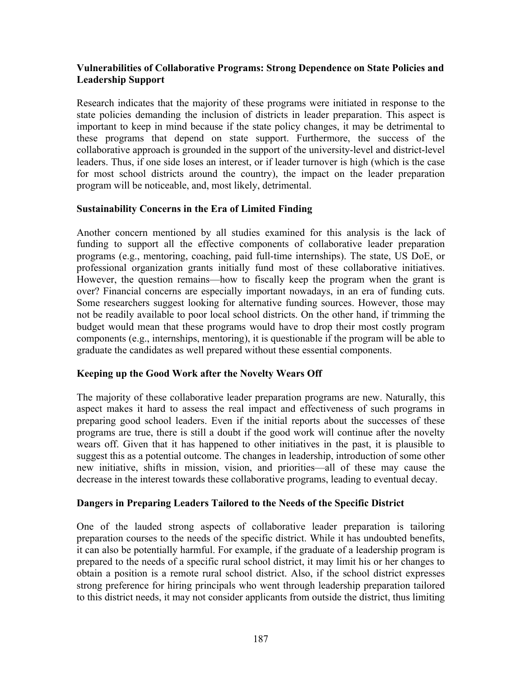## **Vulnerabilities of Collaborative Programs: Strong Dependence on State Policies and Leadership Support**

Research indicates that the majority of these programs were initiated in response to the state policies demanding the inclusion of districts in leader preparation. This aspect is important to keep in mind because if the state policy changes, it may be detrimental to these programs that depend on state support. Furthermore, the success of the collaborative approach is grounded in the support of the university-level and district-level leaders. Thus, if one side loses an interest, or if leader turnover is high (which is the case for most school districts around the country), the impact on the leader preparation program will be noticeable, and, most likely, detrimental.

## **Sustainability Concerns in the Era of Limited Finding**

Another concern mentioned by all studies examined for this analysis is the lack of funding to support all the effective components of collaborative leader preparation programs (e.g., mentoring, coaching, paid full-time internships). The state, US DoE, or professional organization grants initially fund most of these collaborative initiatives. However, the question remains—how to fiscally keep the program when the grant is over? Financial concerns are especially important nowadays, in an era of funding cuts. Some researchers suggest looking for alternative funding sources. However, those may not be readily available to poor local school districts. On the other hand, if trimming the budget would mean that these programs would have to drop their most costly program components (e.g., internships, mentoring), it is questionable if the program will be able to graduate the candidates as well prepared without these essential components.

## **Keeping up the Good Work after the Novelty Wears Off**

The majority of these collaborative leader preparation programs are new. Naturally, this aspect makes it hard to assess the real impact and effectiveness of such programs in preparing good school leaders. Even if the initial reports about the successes of these programs are true, there is still a doubt if the good work will continue after the novelty wears off. Given that it has happened to other initiatives in the past, it is plausible to suggest this as a potential outcome. The changes in leadership, introduction of some other new initiative, shifts in mission, vision, and priorities—all of these may cause the decrease in the interest towards these collaborative programs, leading to eventual decay.

## **Dangers in Preparing Leaders Tailored to the Needs of the Specific District**

One of the lauded strong aspects of collaborative leader preparation is tailoring preparation courses to the needs of the specific district. While it has undoubted benefits, it can also be potentially harmful. For example, if the graduate of a leadership program is prepared to the needs of a specific rural school district, it may limit his or her changes to obtain a position is a remote rural school district. Also, if the school district expresses strong preference for hiring principals who went through leadership preparation tailored to this district needs, it may not consider applicants from outside the district, thus limiting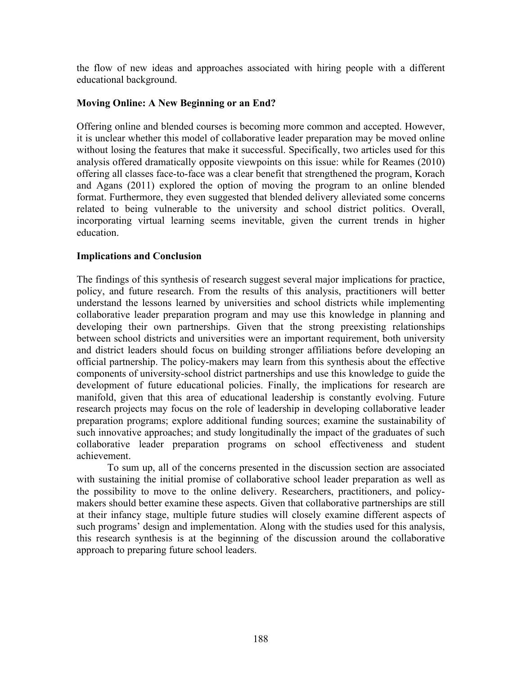the flow of new ideas and approaches associated with hiring people with a different educational background.

## **Moving Online: A New Beginning or an End?**

Offering online and blended courses is becoming more common and accepted. However, it is unclear whether this model of collaborative leader preparation may be moved online without losing the features that make it successful. Specifically, two articles used for this analysis offered dramatically opposite viewpoints on this issue: while for Reames (2010) offering all classes face-to-face was a clear benefit that strengthened the program, Korach and Agans (2011) explored the option of moving the program to an online blended format. Furthermore, they even suggested that blended delivery alleviated some concerns related to being vulnerable to the university and school district politics. Overall, incorporating virtual learning seems inevitable, given the current trends in higher education.

## **Implications and Conclusion**

The findings of this synthesis of research suggest several major implications for practice, policy, and future research. From the results of this analysis, practitioners will better understand the lessons learned by universities and school districts while implementing collaborative leader preparation program and may use this knowledge in planning and developing their own partnerships. Given that the strong preexisting relationships between school districts and universities were an important requirement, both university and district leaders should focus on building stronger affiliations before developing an official partnership. The policy-makers may learn from this synthesis about the effective components of university-school district partnerships and use this knowledge to guide the development of future educational policies. Finally, the implications for research are manifold, given that this area of educational leadership is constantly evolving. Future research projects may focus on the role of leadership in developing collaborative leader preparation programs; explore additional funding sources; examine the sustainability of such innovative approaches; and study longitudinally the impact of the graduates of such collaborative leader preparation programs on school effectiveness and student achievement.

To sum up, all of the concerns presented in the discussion section are associated with sustaining the initial promise of collaborative school leader preparation as well as the possibility to move to the online delivery. Researchers, practitioners, and policymakers should better examine these aspects. Given that collaborative partnerships are still at their infancy stage, multiple future studies will closely examine different aspects of such programs' design and implementation. Along with the studies used for this analysis, this research synthesis is at the beginning of the discussion around the collaborative approach to preparing future school leaders.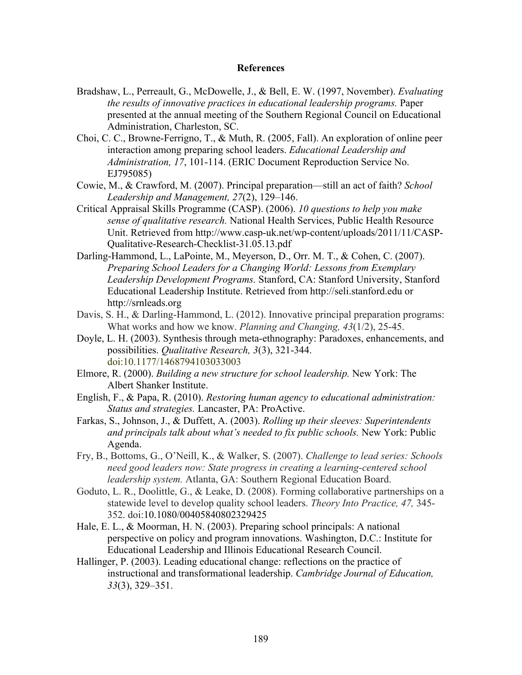#### **References**

- Bradshaw, L., Perreault, G., McDowelle, J., & Bell, E. W. (1997, November). *Evaluating the results of innovative practices in educational leadership programs.* Paper presented at the annual meeting of the Southern Regional Council on Educational Administration, Charleston, SC.
- Choi, C. C., Browne-Ferrigno, T., & Muth, R. (2005, Fall). An exploration of online peer interaction among preparing school leaders. *Educational Leadership and Administration, 17*, 101-114. (ERIC Document Reproduction Service No. EJ795085)
- Cowie, M., & Crawford, M. (2007). Principal preparation—still an act of faith? *School Leadership and Management, 27*(2), 129–146.
- Critical Appraisal Skills Programme (CASP). (2006). *10 questions to help you make sense of qualitative research.* National Health Services, Public Health Resource Unit. Retrieved from http://www.casp-uk.net/wp-content/uploads/2011/11/CASP-Qualitative-Research-Checklist-31.05.13.pdf
- Darling-Hammond, L., LaPointe, M., Meyerson, D., Orr. M. T., & Cohen, C. (2007). *Preparing School Leaders for a Changing World: Lessons from Exemplary Leadership Development Programs.* Stanford, CA: Stanford University, Stanford Educational Leadership Institute. Retrieved from http://seli.stanford.edu or http://srnleads.org
- Davis, S. H., & Darling-Hammond, L. (2012). Innovative principal preparation programs: What works and how we know. *Planning and Changing, 43*(1/2), 25-45.
- Doyle, L. H. (2003). Synthesis through meta-ethnography: Paradoxes, enhancements, and possibilities. *Qualitative Research, 3*(3), 321-344. doi:10.1177/1468794103033003
- Elmore, R. (2000). *Building a new structure for school leadership.* New York: The Albert Shanker Institute.
- English, F., & Papa, R. (2010). *Restoring human agency to educational administration: Status and strategies.* Lancaster, PA: ProActive.
- Farkas, S., Johnson, J., & Duffett, A. (2003). *Rolling up their sleeves: Superintendents and principals talk about what's needed to fix public schools.* New York: Public Agenda.
- Fry, B., Bottoms, G., O'Neill, K., & Walker, S. (2007). *Challenge to lead series: Schools need good leaders now: State progress in creating a learning-centered school leadership system.* Atlanta, GA: Southern Regional Education Board.
- Goduto, L. R., Doolittle, G., & Leake, D. (2008). Forming collaborative partnerships on a statewide level to develop quality school leaders. *Theory Into Practice, 47,* 345- 352. doi:10.1080/00405840802329425
- Hale, E. L., & Moorman, H. N. (2003). Preparing school principals: A national perspective on policy and program innovations. Washington, D.C.: Institute for Educational Leadership and Illinois Educational Research Council.
- Hallinger, P. (2003). Leading educational change: reflections on the practice of instructional and transformational leadership. *Cambridge Journal of Education, 33*(3), 329–351.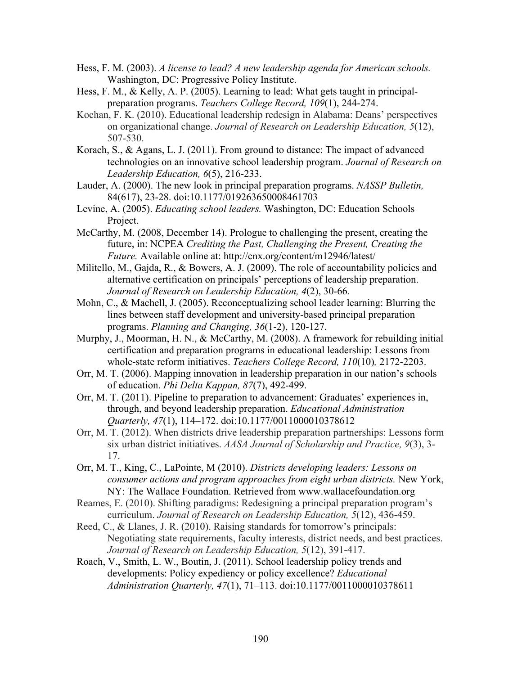- Hess, F. M. (2003). *A license to lead? A new leadership agenda for American schools.*  Washington, DC: Progressive Policy Institute.
- Hess, F. M., & Kelly, A. P. (2005). Learning to lead: What gets taught in principalpreparation programs. *Teachers College Record, 109*(1), 244-274.
- Kochan, F. K. (2010). Educational leadership redesign in Alabama: Deans' perspectives on organizational change. *Journal of Research on Leadership Education, 5*(12), 507-530.
- Korach, S., & Agans, L. J. (2011). From ground to distance: The impact of advanced technologies on an innovative school leadership program. *Journal of Research on Leadership Education, 6*(5), 216-233.
- Lauder, A. (2000). The new look in principal preparation programs. *NASSP Bulletin,*  84(617), 23-28. doi:10.1177/019263650008461703
- Levine, A. (2005). *Educating school leaders.* Washington, DC: Education Schools Project.
- McCarthy, M. (2008, December 14). Prologue to challenging the present, creating the future, in: NCPEA *Crediting the Past, Challenging the Present, Creating the Future.* Available online at: http://cnx.org/content/m12946/latest/
- Militello, M., Gajda, R., & Bowers, A. J. (2009). The role of accountability policies and alternative certification on principals' perceptions of leadership preparation. *Journal of Research on Leadership Education, 4*(2), 30-66.
- Mohn, C., & Machell, J. (2005). Reconceptualizing school leader learning: Blurring the lines between staff development and university-based principal preparation programs. *Planning and Changing, 36*(1-2), 120-127.
- Murphy, J., Moorman, H. N., & McCarthy, M. (2008). A framework for rebuilding initial certification and preparation programs in educational leadership: Lessons from whole-state reform initiatives. *Teachers College Record, 110*(10)*,* 2172-2203.
- Orr, M. T. (2006). Mapping innovation in leadership preparation in our nation's schools of education. *Phi Delta Kappan, 87*(7), 492-499.
- Orr, M. T. (2011). Pipeline to preparation to advancement: Graduates' experiences in, through, and beyond leadership preparation. *Educational Administration Quarterly, 47*(1), 114–172. doi:10.1177/0011000010378612
- Orr, M. T. (2012). When districts drive leadership preparation partnerships: Lessons form six urban district initiatives. *AASA Journal of Scholarship and Practice, 9*(3), 3- 17.
- Orr, M. T., King, C., LaPointe, M (2010). *Districts developing leaders: Lessons on consumer actions and program approaches from eight urban districts.* New York, NY: The Wallace Foundation. Retrieved from www.wallacefoundation.org
- Reames, E. (2010). Shifting paradigms: Redesigning a principal preparation program's curriculum. *Journal of Research on Leadership Education, 5*(12), 436-459.
- Reed, C., & Llanes, J. R. (2010). Raising standards for tomorrow's principals: Negotiating state requirements, faculty interests, district needs, and best practices. *Journal of Research on Leadership Education, 5*(12), 391-417.
- Roach, V., Smith, L. W., Boutin, J. (2011). School leadership policy trends and developments: Policy expediency or policy excellence? *Educational Administration Quarterly, 47*(1), 71–113. doi:10.1177/0011000010378611